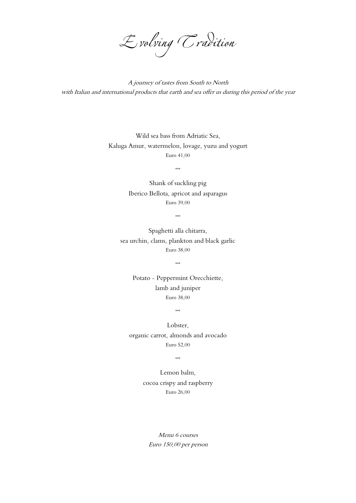

A journey of tastes from South to North with Italian and international products that earth and sea offer us during this period of the year

Wild sea bass from Adriatic Sea, Kaluga Amur, watermelon, lovage, yuzu and yogurt Euro 41,00

\*\*\*

Shank of suckling pig Iberico Bellota, apricot and asparagus Euro 39,00

\*\*\*

Spaghetti alla chitarra, sea urchin, clams, plankton and black garlic Euro 38,00

\*\*\*

Potato - Peppermint Orecchiette, lamb and juniper Euro 38,00

\*\*\*

Lobster, organic carrot, almonds and avocado Euro 52,00

\*\*\*

Lemon balm,

## cocoa crispy and raspberry

Euro 26,00

Menu 6 courses Euro 150,00 per person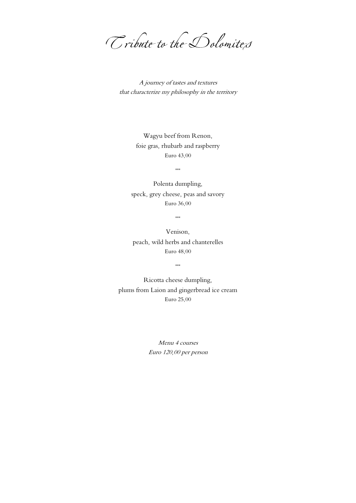Tribute to the Dolomites

A journey of tastes and textures that characterize my philosophy in the territory

> Wagyu beef from Renon, foie gras, rhubarb and raspberry Euro 43,00

> > \*\*\*

Polenta dumpling, speck, grey cheese, peas and savory Euro 36,00

\*\*\*

Venison, peach, wild herbs and chanterelles Euro 48,00

\*\*\*

Ricotta cheese dumpling, plums from Laion and gingerbread ice cream Euro 25,00

> Menu 4 courses Euro 120,00 per person